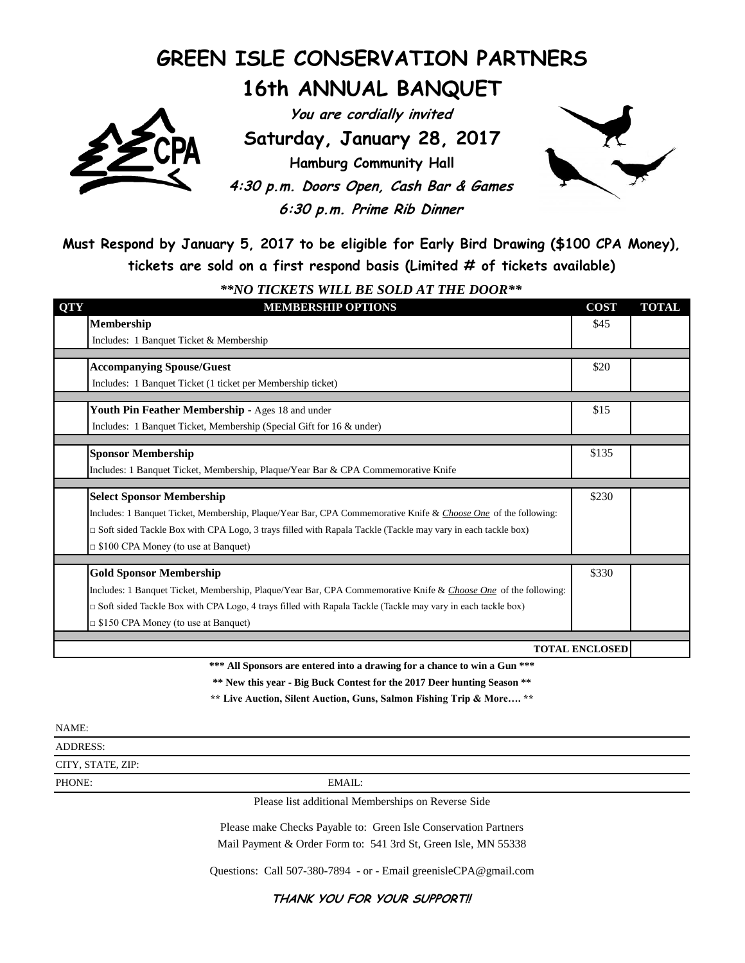## **GREEN ISLE CONSERVATION PARTNERS 16th ANNUAL BANQUET**

**You are cordially invited**

**Saturday, January 28, 2017**

**Hamburg Community Hall 4:30 p.m. Doors Open, Cash Bar & Games 6:30 p.m. Prime Rib Dinner**



**Must Respond by January 5, 2017 to be eligible for Early Bird Drawing (\$100 CPA Money), tickets are sold on a first respond basis (Limited # of tickets available)**

*\*\*NO TICKETS WILL BE SOLD AT THE DOOR\*\**

| <b>MEMBERSHIP OPTIONS</b>                                                                                          | <b>COST</b>                                                                                                                                                                                                                                                            | <b>TOTAL</b>                                             |  |  |
|--------------------------------------------------------------------------------------------------------------------|------------------------------------------------------------------------------------------------------------------------------------------------------------------------------------------------------------------------------------------------------------------------|----------------------------------------------------------|--|--|
| <b>Membership</b>                                                                                                  | \$45                                                                                                                                                                                                                                                                   |                                                          |  |  |
| Includes: 1 Banquet Ticket & Membership                                                                            |                                                                                                                                                                                                                                                                        |                                                          |  |  |
| <b>Accompanying Spouse/Guest</b>                                                                                   | \$20                                                                                                                                                                                                                                                                   |                                                          |  |  |
| Includes: 1 Banquet Ticket (1 ticket per Membership ticket)                                                        |                                                                                                                                                                                                                                                                        |                                                          |  |  |
|                                                                                                                    |                                                                                                                                                                                                                                                                        |                                                          |  |  |
| Includes: 1 Banquet Ticket, Membership (Special Gift for 16 & under)                                               |                                                                                                                                                                                                                                                                        |                                                          |  |  |
|                                                                                                                    |                                                                                                                                                                                                                                                                        |                                                          |  |  |
| Includes: 1 Banquet Ticket, Membership, Plaque/Year Bar & CPA Commemorative Knife                                  |                                                                                                                                                                                                                                                                        |                                                          |  |  |
|                                                                                                                    |                                                                                                                                                                                                                                                                        |                                                          |  |  |
|                                                                                                                    |                                                                                                                                                                                                                                                                        |                                                          |  |  |
| $\Box$ Soft sided Tackle Box with CPA Logo, 3 trays filled with Rapala Tackle (Tackle may vary in each tackle box) |                                                                                                                                                                                                                                                                        |                                                          |  |  |
| $\Box$ \$100 CPA Money (to use at Banquet)                                                                         |                                                                                                                                                                                                                                                                        |                                                          |  |  |
|                                                                                                                    |                                                                                                                                                                                                                                                                        |                                                          |  |  |
| Includes: 1 Banquet Ticket, Membership, Plaque/Year Bar, CPA Commemorative Knife & Choose One of the following:    |                                                                                                                                                                                                                                                                        |                                                          |  |  |
| $\Box$ Soft sided Tackle Box with CPA Logo, 4 trays filled with Rapala Tackle (Tackle may vary in each tackle box) |                                                                                                                                                                                                                                                                        |                                                          |  |  |
| $\Box$ \$150 CPA Money (to use at Banquet)                                                                         |                                                                                                                                                                                                                                                                        |                                                          |  |  |
|                                                                                                                    |                                                                                                                                                                                                                                                                        |                                                          |  |  |
|                                                                                                                    | Youth Pin Feather Membership - Ages 18 and under<br><b>Sponsor Membership</b><br><b>Select Sponsor Membership</b><br>Includes: 1 Banquet Ticket, Membership, Plaque/Year Bar, CPA Commemorative Knife & Choose One of the following:<br><b>Gold Sponsor Membership</b> | \$15<br>\$135<br>\$230<br>\$330<br><b>TOTAL ENCLOSED</b> |  |  |

**\*\*\* All Sponsors are entered into a drawing for a chance to win a Gun \*\*\***

**\*\* New this year - Big Buck Contest for the 2017 Deer hunting Season \*\***

**\*\* Live Auction, Silent Auction, Guns, Salmon Fishing Trip & More…. \*\***

ADDRESS:

CITY, STATE, ZIP:

PHONE: EMAIL:

Please list additional Memberships on Reverse Side

Please make Checks Payable to: Green Isle Conservation Partners Mail Payment & Order Form to: 541 3rd St, Green Isle, MN 55338

Questions: Call 507-380-7894 - or - Email greenisleCPA@gmail.com

**THANK YOU FOR YOUR SUPPORT!!**